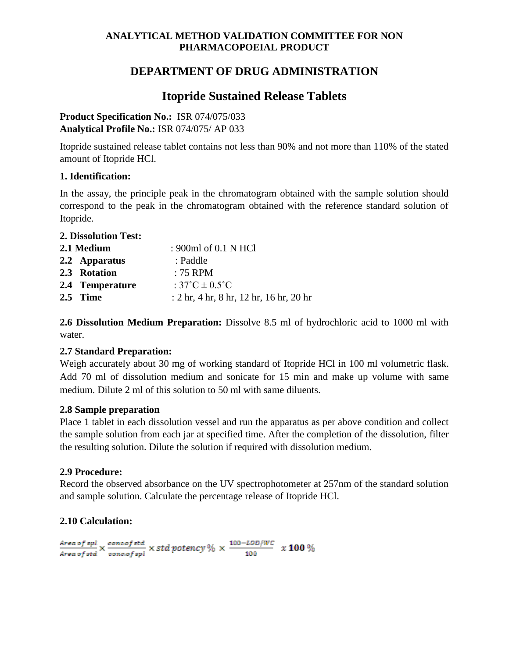### **ANALYTICAL METHOD VALIDATION COMMITTEE FOR NON PHARMACOPOEIAL PRODUCT**

## **DEPARTMENT OF DRUG ADMINISTRATION**

# **Itopride Sustained Release Tablets**

**Product Specification No.:** ISR 074/075/033 **Analytical Profile No.:** ISR 074/075/ AP 033

Itopride sustained release tablet contains not less than 90% and not more than 110% of the stated amount of Itopride HCl.

## **1. Identification:**

In the assay, the principle peak in the chromatogram obtained with the sample solution should correspond to the peak in the chromatogram obtained with the reference standard solution of Itopride.

## **2. Dissolution Test: 2.1 Medium** : 900ml of 0.1 N HCl **2.2 Apparatus** : Paddle **2.3 Rotation** : 75 RPM **2.4 Temperature** : 37˚C ± 0.5˚C **2.5 Time** : 2 hr, 4 hr, 8 hr, 12 hr, 16 hr, 20 hr

**2.6 Dissolution Medium Preparation:** Dissolve 8.5 ml of hydrochloric acid to 1000 ml with water.

## **2.7 Standard Preparation:**

Weigh accurately about 30 mg of working standard of Itopride HCl in 100 ml volumetric flask. Add 70 ml of dissolution medium and sonicate for 15 min and make up volume with same medium. Dilute 2 ml of this solution to 50 ml with same diluents.

## **2.8 Sample preparation**

Place 1 tablet in each dissolution vessel and run the apparatus as per above condition and collect the sample solution from each jar at specified time. After the completion of the dissolution, filter the resulting solution. Dilute the solution if required with dissolution medium.

## **2.9 Procedure:**

Record the observed absorbance on the UV spectrophotometer at 257nm of the standard solution and sample solution. Calculate the percentage release of Itopride HCl.

## **2.10 Calculation:**

 $\frac{Area\ of\ spl}{Area\ of\ std}\times\frac{concof\ std}{concof\ spl}\times\ std\ potency\ \%\ \times\ \frac{100-LOD/WC}{100}\ \ \times\ 100\ \%$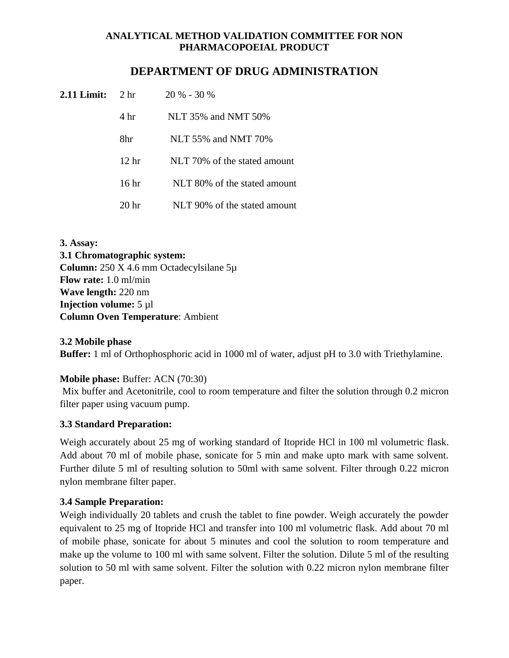### **ANALYTICAL METHOD VALIDATION COMMITTEE FOR NON PHARMACOPOEIAL PRODUCT**

## **DEPARTMENT OF DRUG ADMINISTRATION**

| 2.11 Limit: | 2 <sub>hr</sub>  | $20\% - 30\%$                |
|-------------|------------------|------------------------------|
|             | 4 <sup>hr</sup>  | NLT 35% and NMT 50%          |
|             | 8hr              | NLT 55% and NMT 70%          |
|             | 12 <sub>hr</sub> | NLT 70% of the stated amount |
|             | 16 hr            | NLT 80% of the stated amount |
|             | 20 <sub>hr</sub> | NLT 90% of the stated amount |

**3. Assay: 3.1 Chromatographic system: Column:** 250 X 4.6 mm Octadecylsilane 5µ **Flow rate:** 1.0 ml/min **Wave length:** 220 nm **Injection volume:**  $5 \mu l$ **Column Oven Temperature**: Ambient

#### **3.2 Mobile phase**

**Buffer:** 1 ml of Orthophosphoric acid in 1000 ml of water, adjust pH to 3.0 with Triethylamine.

#### **Mobile phase:** Buffer: ACN (70:30)

Mix buffer and Acetonitrile, cool to room temperature and filter the solution through 0.2 micron filter paper using vacuum pump.

#### **3.3 Standard Preparation:**

Weigh accurately about 25 mg of working standard of Itopride HCl in 100 ml volumetric flask. Add about 70 ml of mobile phase, sonicate for 5 min and make upto mark with same solvent. Further dilute 5 ml of resulting solution to 50ml with same solvent. Filter through 0.22 micron nylon membrane filter paper.

#### **3.4 Sample Preparation:**

Weigh individually 20 tablets and crush the tablet to fine powder. Weigh accurately the powder equivalent to 25 mg of Itopride HCl and transfer into 100 ml volumetric flask. Add about 70 ml of mobile phase, sonicate for about 5 minutes and cool the solution to room temperature and make up the volume to 100 ml with same solvent. Filter the solution. Dilute 5 ml of the resulting solution to 50 ml with same solvent. Filter the solution with 0.22 micron nylon membrane filter paper.